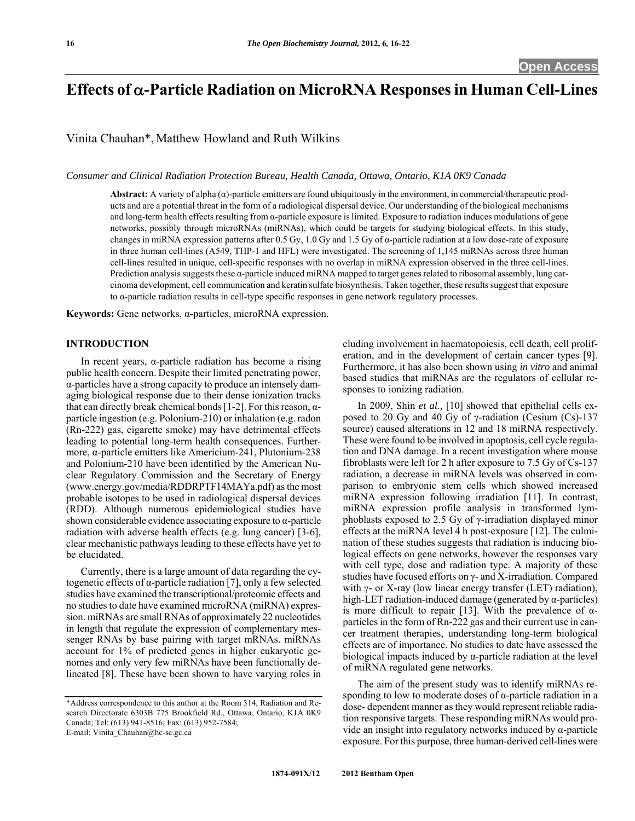# **Effects of -Particle Radiation on MicroRNA Responses in Human Cell-Lines**

Vinita Chauhan\*, Matthew Howland and Ruth Wilkins

*Consumer and Clinical Radiation Protection Bureau, Health Canada, Ottawa, Ontario, K1A 0K9 Canada* 

**Abstract:** A variety of alpha (α)-particle emitters are found ubiquitously in the environment, in commercial/therapeutic products and are a potential threat in the form of a radiological dispersal device. Our understanding of the biological mechanisms and long-term health effects resulting from α-particle exposure is limited. Exposure to radiation induces modulations of gene networks, possibly through microRNAs (miRNAs), which could be targets for studying biological effects. In this study, changes in miRNA expression patterns after 0.5 Gy, 1.0 Gy and 1.5 Gy of α-particle radiation at a low dose-rate of exposure in three human cell-lines (A549, THP-1 and HFL) were investigated. The screening of 1,145 miRNAs across three human cell-lines resulted in unique, cell-specific responses with no overlap in miRNA expression observed in the three cell-lines. Prediction analysis suggests these α-particle induced miRNA mapped to target genes related to ribosomal assembly, lung carcinoma development, cell communication and keratin sulfate biosynthesis. Taken together, these results suggest that exposure to α-particle radiation results in cell-type specific responses in gene network regulatory processes.

**Keywords:** Gene networks, α-particles, microRNA expression.

#### **INTRODUCTION**

 In recent years, α-particle radiation has become a rising public health concern. Despite their limited penetrating power, α-particles have a strong capacity to produce an intensely damaging biological response due to their dense ionization tracks that can directly break chemical bonds [1-2]. For this reason,  $α$ particle ingestion (e.g. Polonium-210) or inhalation (e.g. radon (Rn-222) gas, cigarette smoke) may have detrimental effects leading to potential long-term health consequences. Furthermore, α-particle emitters like Americium-241, Plutonium-238 and Polonium-210 have been identified by the American Nuclear Regulatory Commission and the Secretary of Energy (www.energy.gov/media/RDDRPTF14MAYa.pdf) as the most probable isotopes to be used in radiological dispersal devices (RDD). Although numerous epidemiological studies have shown considerable evidence associating exposure to α-particle radiation with adverse health effects (e.g. lung cancer) [3-6], clear mechanistic pathways leading to these effects have yet to be elucidated.

 Currently, there is a large amount of data regarding the cytogenetic effects of α-particle radiation [7], only a few selected studies have examined the transcriptional/proteomic effects and no studies to date have examined microRNA (miRNA) expression. miRNAs are small RNAs of approximately 22 nucleotides in length that regulate the expression of complementary messenger RNAs by base pairing with target mRNAs. miRNAs account for 1% of predicted genes in higher eukaryotic genomes and only very few miRNAs have been functionally delineated [8]. These have been shown to have varying roles in

E-mail: Vinita\_Chauhan@hc-sc.gc.ca

cluding involvement in haematopoiesis, cell death, cell proliferation, and in the development of certain cancer types [9]. Furthermore, it has also been shown using *in vitro* and animal based studies that miRNAs are the regulators of cellular responses to ionizing radiation.

 In 2009, Shin *et al.,* [10] showed that epithelial cells exposed to 20 Gy and 40 Gy of γ-radiation (Cesium (Cs)-137 source) caused alterations in 12 and 18 miRNA respectively. These were found to be involved in apoptosis, cell cycle regulation and DNA damage. In a recent investigation where mouse fibroblasts were left for 2 h after exposure to 7.5 Gy of Cs-137 radiation, a decrease in miRNA levels was observed in comparison to embryonic stem cells which showed increased miRNA expression following irradiation [11]. In contrast, miRNA expression profile analysis in transformed lymphoblasts exposed to 2.5 Gy of γ-irradiation displayed minor effects at the miRNA level 4 h post-exposure [12]. The culmination of these studies suggests that radiation is inducing biological effects on gene networks, however the responses vary with cell type, dose and radiation type. A majority of these studies have focused efforts on γ- and X-irradiation. Compared with  $\gamma$ - or X-ray (low linear energy transfer (LET) radiation), high-LET radiation-induced damage (generated by α-particles) is more difficult to repair [13]. With the prevalence of  $α$ particles in the form of Rn-222 gas and their current use in cancer treatment therapies, understanding long-term biological effects are of importance. No studies to date have assessed the biological impacts induced by  $\alpha$ -particle radiation at the level of miRNA regulated gene networks.

 The aim of the present study was to identify miRNAs responding to low to moderate doses of α-particle radiation in a dose- dependent manner as they would represent reliable radiation responsive targets. These responding miRNAs would provide an insight into regulatory networks induced by α-particle exposure. For this purpose, three human-derived cell-lines were

<sup>\*</sup>Address correspondence to this author at the Room 314, Radiation and Research Directorate 6303B 775 Brookfield Rd., Ottawa, Ontario, K1A 0K9 Canada; Tel: (613) 941-8516; Fax: (613) 952-7584;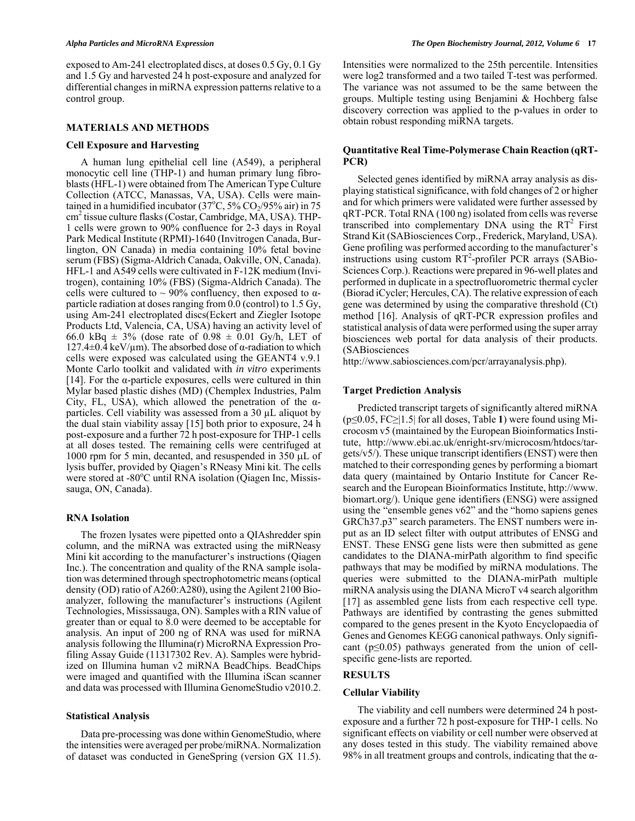exposed to Am-241 electroplated discs, at doses 0.5 Gy, 0.1 Gy and 1.5 Gy and harvested 24 h post-exposure and analyzed for differential changes in miRNA expression patterns relative to a control group.

# **MATERIALS AND METHODS**

# **Cell Exposure and Harvesting**

 A human lung epithelial cell line (A549), a peripheral monocytic cell line (THP-1) and human primary lung fibroblasts (HFL-1) were obtained from The American Type Culture Collection (ATCC, Manassas, VA, USA). Cells were maintained in a humidified incubator (37°C, 5%  $CO_2/95\%$  air) in 75 cm2 tissue culture flasks (Costar, Cambridge, MA, USA). THP-1 cells were grown to 90% confluence for 2-3 days in Royal Park Medical Institute (RPMI)-1640 (Invitrogen Canada, Burlington, ON Canada) in media containing 10% fetal bovine serum (FBS) (Sigma-Aldrich Canada, Oakville, ON, Canada). HFL-1 and A549 cells were cultivated in F-12K medium (Invitrogen), containing 10% (FBS) (Sigma-Aldrich Canada). The cells were cultured to  $\sim$  90% confluency, then exposed to  $\alpha$ particle radiation at doses ranging from  $0.0$  (control) to 1.5 Gy, using Am-241 electroplated discs(Eckert and Ziegler Isotope Products Ltd, Valencia, CA, USA) having an activity level of 66.0 kBq  $\pm$  3% (dose rate of 0.98  $\pm$  0.01 Gy/h, LET of  $127.4\pm0.4$  keV/µm). The absorbed dose of  $\alpha$ -radiation to which cells were exposed was calculated using the GEANT4 v.9.1 Monte Carlo toolkit and validated with *in vitro* experiments [14]. For the  $\alpha$ -particle exposures, cells were cultured in thin Mylar based plastic dishes (MD) (Chemplex Industries, Palm City, FL, USA), which allowed the penetration of the  $\alpha$ particles. Cell viability was assessed from a 30 µL aliquot by the dual stain viability assay [15] both prior to exposure, 24 h post-exposure and a further 72 h post-exposure for THP-1 cells at all doses tested. The remaining cells were centrifuged at 1000 rpm for 5 min, decanted, and resuspended in 350  $\mu$ L of lysis buffer, provided by Qiagen's RNeasy Mini kit. The cells were stored at -80°C until RNA isolation (Qiagen Inc, Mississauga, ON, Canada).

# **RNA Isolation**

 The frozen lysates were pipetted onto a QIAshredder spin column, and the miRNA was extracted using the miRNeasy Mini kit according to the manufacturer's instructions (Qiagen Inc.). The concentration and quality of the RNA sample isolation was determined through spectrophotometric means (optical density (OD) ratio of A260:A280), using the Agilent 2100 Bioanalyzer, following the manufacturer's instructions (Agilent Technologies, Mississauga, ON). Samples with a RIN value of greater than or equal to 8.0 were deemed to be acceptable for analysis. An input of 200 ng of RNA was used for miRNA analysis following the Illumina(r) MicroRNA Expression Profiling Assay Guide (11317302 Rev. A). Samples were hybridized on Illumina human v2 miRNA BeadChips. BeadChips were imaged and quantified with the Illumina iScan scanner and data was processed with Illumina GenomeStudio v2010.2.

### **Statistical Analysis**

 Data pre-processing was done within GenomeStudio, where the intensities were averaged per probe/miRNA. Normalization of dataset was conducted in GeneSpring (version GX 11.5).

Intensities were normalized to the 25th percentile. Intensities were log2 transformed and a two tailed T-test was performed. The variance was not assumed to be the same between the groups. Multiple testing using Benjamini & Hochberg false discovery correction was applied to the p-values in order to obtain robust responding miRNA targets.

# **Quantitative Real Time-Polymerase Chain Reaction (qRT-PCR)**

 Selected genes identified by miRNA array analysis as displaying statistical significance, with fold changes of 2 or higher and for which primers were validated were further assessed by qRT-PCR. Total RNA (100 ng) isolated from cells was reverse transcribed into complementary DNA using the  $RT^2$  First Strand Kit (SABiosciences Corp., Frederick, Maryland, USA). Gene profiling was performed according to the manufacturer's instructions using custom RT<sup>2</sup>-profiler PCR arrays (SABio-Sciences Corp.). Reactions were prepared in 96-well plates and performed in duplicate in a spectrofluorometric thermal cycler (Biorad iCycler; Hercules, CA). The relative expression of each gene was determined by using the comparative threshold (Ct) method [16]. Analysis of qRT-PCR expression profiles and statistical analysis of data were performed using the super array biosciences web portal for data analysis of their products. (SABiosciences

http://www.sabiosciences.com/pcr/arrayanalysis.php).

# **Target Prediction Analysis**

 Predicted transcript targets of significantly altered miRNA (p≤0.05, FC≥|1.5| for all doses, Table **1**) were found using Microcosm v5 (maintained by the European Bioinformatics Institute, http://www.ebi.ac.uk/enright-srv/microcosm/htdocs/targets/v5/). These unique transcript identifiers (ENST) were then matched to their corresponding genes by performing a biomart data query (maintained by Ontario Institute for Cancer Research and the European Bioinformatics Institute, http://www. biomart.org/). Unique gene identifiers (ENSG) were assigned using the "ensemble genes v62" and the "homo sapiens genes GRCh37.p3" search parameters. The ENST numbers were input as an ID select filter with output attributes of ENSG and ENST. These ENSG gene lists were then submitted as gene candidates to the DIANA-mirPath algorithm to find specific pathways that may be modified by miRNA modulations. The queries were submitted to the DIANA-mirPath multiple miRNA analysis using the DIANA MicroT v4 search algorithm [17] as assembled gene lists from each respective cell type. Pathways are identified by contrasting the genes submitted compared to the genes present in the Kyoto Encyclopaedia of Genes and Genomes KEGG canonical pathways. Only significant ( $p \leq 0.05$ ) pathways generated from the union of cellspecific gene-lists are reported.

# **RESULTS**

#### **Cellular Viability**

 The viability and cell numbers were determined 24 h postexposure and a further 72 h post-exposure for THP-1 cells. No significant effects on viability or cell number were observed at any doses tested in this study. The viability remained above 98% in all treatment groups and controls, indicating that the  $\alpha$ -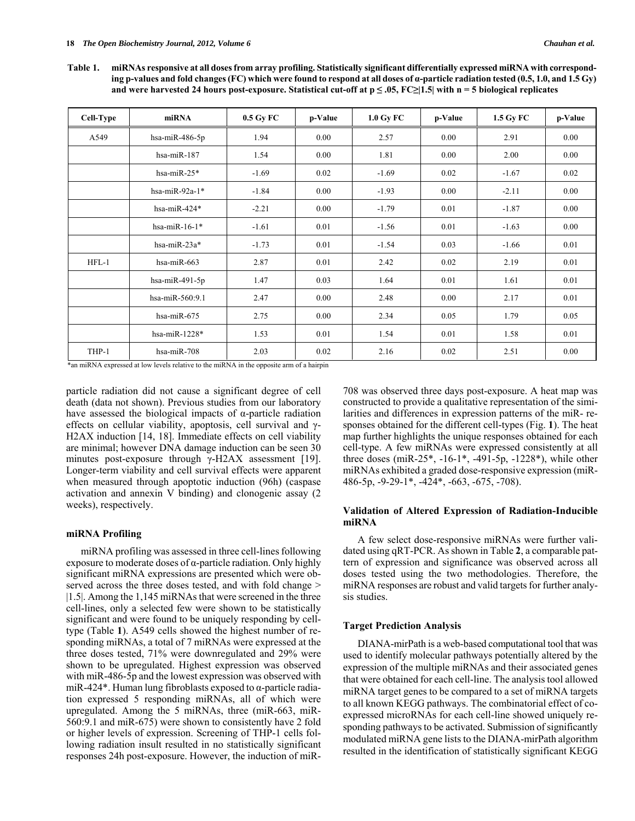**Table 1. miRNAs responsive at all doses from array profiling. Statistically significant differentially expressed miRNA with corresponding p-values and fold changes (FC) which were found to respond at all doses of α-particle radiation tested (0.5, 1.0, and 1.5 Gy) and were harvested 24 hours post-exposure. Statistical cut-off at p ≤ .05, FC≥|1.5| with n = 5 biological replicates** 

| Cell-Type | miRNA              | 0.5 Gy FC | p-Value | 1.0 Gy FC | p-Value | 1.5 Gy FC | p-Value |
|-----------|--------------------|-----------|---------|-----------|---------|-----------|---------|
| A549      | hsa-mi $R-486-5p$  | 1.94      | 0.00    | 2.57      | 0.00    | 2.91      | 0.00    |
|           | hsa-mi $R-187$     | 1.54      | 0.00    | 1.81      | 0.00    | 2.00      | 0.00    |
|           | hsa-mi $R-25*$     | $-1.69$   | 0.02    | $-1.69$   | 0.02    | $-1.67$   | 0.02    |
|           | hsa-mi $R-92a-1*$  | $-1.84$   | 0.00    | $-1.93$   | 0.00    | $-2.11$   | 0.00    |
|           | hsa-mi $R-424*$    | $-2.21$   | 0.00    | $-1.79$   | 0.01    | $-1.87$   | 0.00    |
|           | hsa-mi $R-16-1*$   | $-1.61$   | 0.01    | $-1.56$   | 0.01    | $-1.63$   | 0.00    |
|           | hsa-mi $R-23a*$    | $-1.73$   | 0.01    | $-1.54$   | 0.03    | $-1.66$   | 0.01    |
| $HFL-1$   | hsa-mi $R-663$     | 2.87      | 0.01    | 2.42      | 0.02    | 2.19      | 0.01    |
|           | hsa-mi $R-491-5p$  | 1.47      | 0.03    | 1.64      | 0.01    | 1.61      | 0.01    |
|           | hsa-mi $R-560:9.1$ | 2.47      | 0.00    | 2.48      | 0.00    | 2.17      | 0.01    |
|           | hsa-mi $R-675$     | 2.75      | 0.00    | 2.34      | 0.05    | 1.79      | 0.05    |
|           | hsa-mi $R-1228*$   | 1.53      | 0.01    | 1.54      | 0.01    | 1.58      | 0.01    |
| THP-1     | hsa-mi $R-708$     | 2.03      | 0.02    | 2.16      | 0.02    | 2.51      | 0.00    |

\*an miRNA expressed at low levels relative to the miRNA in the opposite arm of a hairpin

particle radiation did not cause a significant degree of cell death (data not shown). Previous studies from our laboratory have assessed the biological impacts of  $\alpha$ -particle radiation effects on cellular viability, apoptosis, cell survival and γ-H2AX induction [14, 18]. Immediate effects on cell viability are minimal; however DNA damage induction can be seen 30 minutes post-exposure through  $\gamma$ -H2AX assessment [19]. Longer-term viability and cell survival effects were apparent when measured through apoptotic induction (96h) (caspase activation and annexin V binding) and clonogenic assay (2 weeks), respectively.

# **miRNA Profiling**

 miRNA profiling was assessed in three cell-lines following exposure to moderate doses of α-particle radiation. Only highly significant miRNA expressions are presented which were observed across the three doses tested, and with fold change  $>$ |1.5|. Among the 1,145 miRNAs that were screened in the three cell-lines, only a selected few were shown to be statistically significant and were found to be uniquely responding by celltype (Table **1**). A549 cells showed the highest number of responding miRNAs, a total of 7 miRNAs were expressed at the three doses tested, 71% were downregulated and 29% were shown to be upregulated. Highest expression was observed with miR-486-5p and the lowest expression was observed with miR-424\*. Human lung fibroblasts exposed to  $\alpha$ -particle radiation expressed 5 responding miRNAs, all of which were upregulated. Among the 5 miRNAs, three (miR-663, miR-560:9.1 and miR-675) were shown to consistently have 2 fold or higher levels of expression. Screening of THP-1 cells following radiation insult resulted in no statistically significant responses 24h post-exposure. However, the induction of miR- 708 was observed three days post-exposure. A heat map was constructed to provide a qualitative representation of the similarities and differences in expression patterns of the miR- responses obtained for the different cell-types (Fig. **1**). The heat map further highlights the unique responses obtained for each cell-type. A few miRNAs were expressed consistently at all three doses (miR-25\*, -16-1\*, -491-5p, -1228\*), while other miRNAs exhibited a graded dose-responsive expression (miR-486-5p, -9-29-1\*, -424\*, -663, -675, -708).

# **Validation of Altered Expression of Radiation-Inducible miRNA**

 A few select dose-responsive miRNAs were further validated using qRT-PCR. As shown in Table **2**, a comparable pattern of expression and significance was observed across all doses tested using the two methodologies. Therefore, the miRNA responses are robust and valid targets for further analysis studies.

# **Target Prediction Analysis**

 DIANA-mirPath is a web-based computational tool that was used to identify molecular pathways potentially altered by the expression of the multiple miRNAs and their associated genes that were obtained for each cell-line. The analysis tool allowed miRNA target genes to be compared to a set of miRNA targets to all known KEGG pathways. The combinatorial effect of coexpressed microRNAs for each cell-line showed uniquely responding pathways to be activated. Submission of significantly modulated miRNA gene lists to the DIANA-mirPath algorithm resulted in the identification of statistically significant KEGG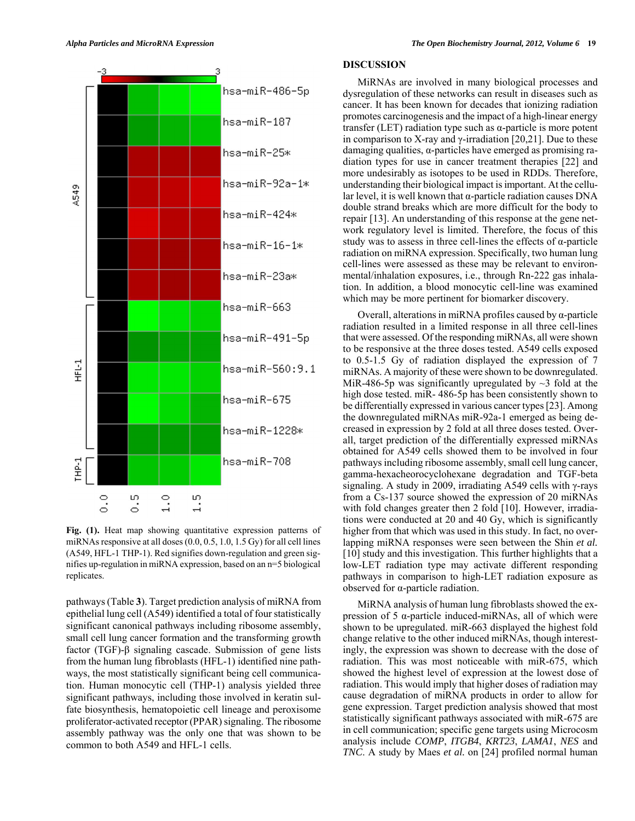

**Fig. (1).** Heat map showing quantitative expression patterns of miRNAs responsive at all doses (0.0, 0.5, 1.0, 1.5 Gy) for all cell lines (A549, HFL-1 THP-1). Red signifies down-regulation and green signifies up-regulation in miRNA expression, based on an n=5 biological replicates.

pathways (Table **3**). Target prediction analysis of miRNA from epithelial lung cell (A549) identified a total of four statistically significant canonical pathways including ribosome assembly, small cell lung cancer formation and the transforming growth factor (TGF)-β signaling cascade. Submission of gene lists from the human lung fibroblasts (HFL-1) identified nine pathways, the most statistically significant being cell communication. Human monocytic cell (THP-1) analysis yielded three significant pathways, including those involved in keratin sulfate biosynthesis, hematopoietic cell lineage and peroxisome proliferator-activated receptor (PPAR) signaling. The ribosome assembly pathway was the only one that was shown to be common to both A549 and HFL-1 cells.

# **DISCUSSION**

 MiRNAs are involved in many biological processes and dysregulation of these networks can result in diseases such as cancer. It has been known for decades that ionizing radiation promotes carcinogenesis and the impact of a high-linear energy transfer (LET) radiation type such as α-particle is more potent in comparison to X-ray and  $\gamma$ -irradiation [20,21]. Due to these damaging qualities,  $\alpha$ -particles have emerged as promising radiation types for use in cancer treatment therapies [22] and more undesirably as isotopes to be used in RDDs. Therefore, understanding their biological impact is important. At the cellular level, it is well known that  $\alpha$ -particle radiation causes DNA double strand breaks which are more difficult for the body to repair [13]. An understanding of this response at the gene network regulatory level is limited. Therefore, the focus of this study was to assess in three cell-lines the effects of  $\alpha$ -particle radiation on miRNA expression. Specifically, two human lung cell-lines were assessed as these may be relevant to environmental/inhalation exposures, i.e., through Rn-222 gas inhalation. In addition, a blood monocytic cell-line was examined which may be more pertinent for biomarker discovery.

 Overall, alterations in miRNA profiles caused by α-particle radiation resulted in a limited response in all three cell-lines that were assessed. Of the responding miRNAs, all were shown to be responsive at the three doses tested. A549 cells exposed to 0.5-1.5 Gy of radiation displayed the expression of 7 miRNAs. A majority of these were shown to be downregulated. MiR-486-5p was significantly upregulated by  $\sim$ 3 fold at the high dose tested. miR- 486-5p has been consistently shown to be differentially expressed in various cancer types [23]. Among the downregulated miRNAs miR-92a-1 emerged as being decreased in expression by 2 fold at all three doses tested. Overall, target prediction of the differentially expressed miRNAs obtained for A549 cells showed them to be involved in four pathways including ribosome assembly, small cell lung cancer, gamma-hexacheorocyclohexane degradation and TGF-beta signaling. A study in 2009, irradiating A549 cells with  $\gamma$ -rays from a Cs-137 source showed the expression of 20 miRNAs with fold changes greater then 2 fold [10]. However, irradiations were conducted at 20 and 40 Gy, which is significantly higher from that which was used in this study. In fact, no overlapping miRNA responses were seen between the Shin *et al.* [10] study and this investigation. This further highlights that a low-LET radiation type may activate different responding pathways in comparison to high-LET radiation exposure as observed for α-particle radiation.

 MiRNA analysis of human lung fibroblasts showed the expression of 5 α-particle induced-miRNAs, all of which were shown to be upregulated. miR-663 displayed the highest fold change relative to the other induced miRNAs, though interestingly, the expression was shown to decrease with the dose of radiation. This was most noticeable with miR-675, which showed the highest level of expression at the lowest dose of radiation. This would imply that higher doses of radiation may cause degradation of miRNA products in order to allow for gene expression. Target prediction analysis showed that most statistically significant pathways associated with miR-675 are in cell communication; specific gene targets using Microcosm analysis include *COMP*, *ITGB4*, *KRT23*, *LAMA1*, *NES* and *TNC*. A study by Maes *et al.* on [24] profiled normal human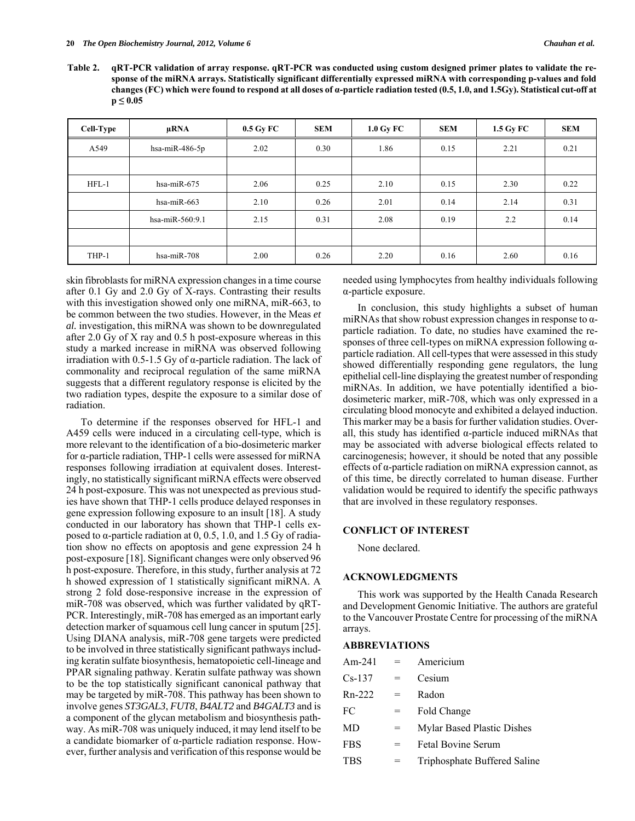**Table 2. qRT-PCR validation of array response. qRT-PCR was conducted using custom designed primer plates to validate the response of the miRNA arrays. Statistically significant differentially expressed miRNA with corresponding p-values and fold changes (FC) which were found to respond at all doses of α-particle radiation tested (0.5, 1.0, and 1.5Gy). Statistical cut-off at p ≤ 0.05** 

| Cell-Type | uRNA              | $0.5$ Gy FC | <b>SEM</b> | $1.0 \text{ Gy } \text{FC}$ | <b>SEM</b> | 1.5 Gy FC | <b>SEM</b> |
|-----------|-------------------|-------------|------------|-----------------------------|------------|-----------|------------|
| A549      | hsa-mi $R-486-5p$ | 2.02        | 0.30       | 1.86                        | 0.15       | 2.21      | 0.21       |
|           |                   |             |            |                             |            |           |            |
| $HFL-1$   | hsa-mi $R-675$    | 2.06        | 0.25       | 2.10                        | 0.15       | 2.30      | 0.22       |
|           | hsa-mi $R-663$    | 2.10        | 0.26       | 2.01                        | 0.14       | 2.14      | 0.31       |
|           | hsa-miR-560:9.1   | 2.15        | 0.31       | 2.08                        | 0.19       | 2.2       | 0.14       |
|           |                   |             |            |                             |            |           |            |
| THP-1     | hsa-miR-708       | 2.00        | 0.26       | 2.20                        | 0.16       | 2.60      | 0.16       |

skin fibroblasts for miRNA expression changes in a time course after 0.1 Gy and 2.0 Gy of X-rays. Contrasting their results with this investigation showed only one miRNA, miR-663, to be common between the two studies. However, in the Meas *et al.* investigation, this miRNA was shown to be downregulated after 2.0 Gy of X ray and 0.5 h post-exposure whereas in this study a marked increase in miRNA was observed following irradiation with 0.5-1.5 Gy of α-particle radiation. The lack of commonality and reciprocal regulation of the same miRNA suggests that a different regulatory response is elicited by the two radiation types, despite the exposure to a similar dose of radiation.

 To determine if the responses observed for HFL-1 and A459 cells were induced in a circulating cell-type, which is more relevant to the identification of a bio-dosimeteric marker for α-particle radiation, THP-1 cells were assessed for miRNA responses following irradiation at equivalent doses. Interestingly, no statistically significant miRNA effects were observed 24 h post-exposure. This was not unexpected as previous studies have shown that THP-1 cells produce delayed responses in gene expression following exposure to an insult [18]. A study conducted in our laboratory has shown that THP-1 cells exposed to  $α$ -particle radiation at 0, 0.5, 1.0, and 1.5 Gy of radiation show no effects on apoptosis and gene expression 24 h post-exposure [18]. Significant changes were only observed 96 h post-exposure. Therefore, in this study, further analysis at 72 h showed expression of 1 statistically significant miRNA. A strong 2 fold dose-responsive increase in the expression of miR-708 was observed, which was further validated by qRT-PCR. Interestingly, miR-708 has emerged as an important early detection marker of squamous cell lung cancer in sputum [25]. Using DIANA analysis, miR-708 gene targets were predicted to be involved in three statistically significant pathways including keratin sulfate biosynthesis, hematopoietic cell-lineage and PPAR signaling pathway. Keratin sulfate pathway was shown to be the top statistically significant canonical pathway that may be targeted by miR-708. This pathway has been shown to involve genes *ST3GAL3*, *FUT8*, *B4ALT2* and *B4GALT3* and is a component of the glycan metabolism and biosynthesis pathway. As miR-708 was uniquely induced, it may lend itself to be a candidate biomarker of α-particle radiation response. However, further analysis and verification of this response would be needed using lymphocytes from healthy individuals following α-particle exposure.

 In conclusion, this study highlights a subset of human miRNAs that show robust expression changes in response to  $\alpha$ particle radiation. To date, no studies have examined the responses of three cell-types on miRNA expression following αparticle radiation. All cell-types that were assessed in this study showed differentially responding gene regulators, the lung epithelial cell-line displaying the greatest number of responding miRNAs. In addition, we have potentially identified a biodosimeteric marker, miR-708, which was only expressed in a circulating blood monocyte and exhibited a delayed induction. This marker may be a basis for further validation studies. Overall, this study has identified α-particle induced miRNAs that may be associated with adverse biological effects related to carcinogenesis; however, it should be noted that any possible effects of α-particle radiation on miRNA expression cannot, as of this time, be directly correlated to human disease. Further validation would be required to identify the specific pathways that are involved in these regulatory responses.

# **CONFLICT OF INTEREST**

None declared.

### **ACKNOWLEDGMENTS**

 This work was supported by the Health Canada Research and Development Genomic Initiative. The authors are grateful to the Vancouver Prostate Centre for processing of the miRNA arrays.

# **ABBREVIATIONS**

| Am-241     | $=$ | Americium                    |
|------------|-----|------------------------------|
| $Cs-137$   | $=$ | Cesium                       |
| $Rn-222$   | $=$ | Radon                        |
| FC         | $=$ | Fold Change                  |
| MD         | $=$ | Mylar Based Plastic Dishes   |
| <b>FBS</b> | $=$ | <b>Fetal Bovine Serum</b>    |
| <b>TBS</b> |     | Triphosphate Buffered Saline |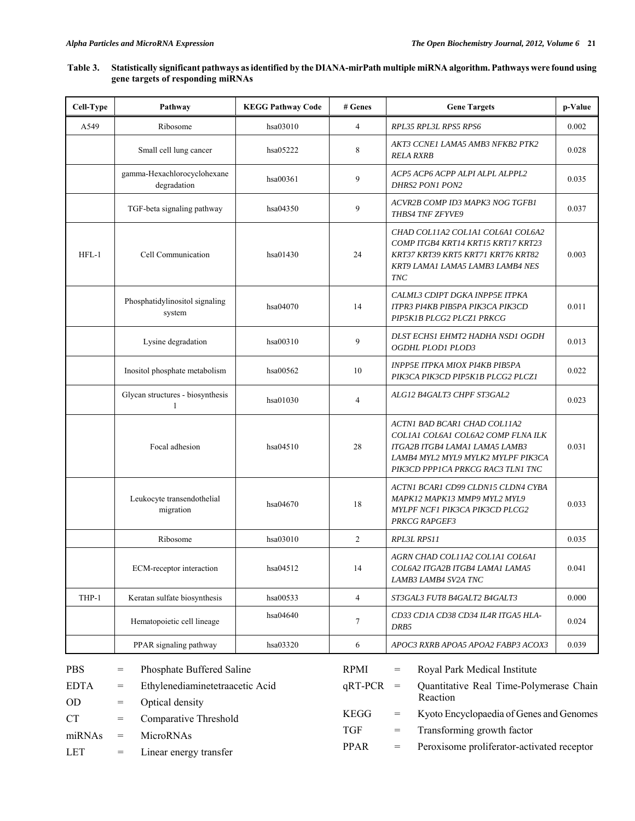# **Table 3. Statistically significant pathways as identified by the DIANA-mirPath multiple miRNA algorithm. Pathways were found using gene targets of responding miRNAs**

| Cell-Type                 | Pathway                                                                    | <b>KEGG Pathway Code</b> | # Genes                   | <b>Gene Targets</b>                                                                                                                                                             | p-Value |  |
|---------------------------|----------------------------------------------------------------------------|--------------------------|---------------------------|---------------------------------------------------------------------------------------------------------------------------------------------------------------------------------|---------|--|
| A549                      | Ribosome                                                                   | hsa03010                 | $\overline{4}$            | RPL35 RPL3L RPS5 RPS6                                                                                                                                                           | 0.002   |  |
|                           | Small cell lung cancer                                                     | hsa05222                 | 8                         | AKT3 CCNE1 LAMA5 AMB3 NFKB2 PTK2<br><b>RELA RXRB</b>                                                                                                                            | 0.028   |  |
|                           | gamma-Hexachlorocyclohexane<br>degradation                                 | hsa00361                 | 9                         | ACP5 ACP6 ACPP ALPI ALPL ALPPL2<br>DHRS2 PON1 PON2                                                                                                                              | 0.035   |  |
|                           | TGF-beta signaling pathway                                                 | hsa04350                 | 9                         | ACVR2B COMP ID3 MAPK3 NOG TGFB1<br>THBS4 TNF ZFYVE9                                                                                                                             | 0.037   |  |
| $HFL-1$                   | Cell Communication                                                         | hsa01430                 | 24                        | CHAD COL11A2 COL1A1 COL6A1 COL6A2<br>COMP ITGB4 KRT14 KRT15 KRT17 KRT23<br>KRT37 KRT39 KRT5 KRT71 KRT76 KRT82<br>KRT9 LAMA1 LAMA5 LAMB3 LAMB4 NES<br><b>TNC</b>                 | 0.003   |  |
|                           | Phosphatidylinositol signaling<br>system                                   | hsa04070                 | 14                        | CALML3 CDIPT DGKA INPP5E ITPKA<br>ITPR3 PI4KB PIB5PA PIK3CA PIK3CD<br>PIP5K1B PLCG2 PLCZ1 PRKCG                                                                                 | 0.011   |  |
|                           | Lysine degradation                                                         | hsa00310                 | 9                         | DLST ECHS1 EHMT2 HADHA NSD1 OGDH<br>OGDHL PLOD1 PLOD3                                                                                                                           | 0.013   |  |
|                           | Inositol phosphate metabolism                                              | hsa00562                 | 10                        | INPP5E ITPKA MIOX PI4KB PIB5PA<br>PIK3CA PIK3CD PIP5K1B PLCG2 PLCZ1                                                                                                             | 0.022   |  |
|                           | Glycan structures - biosynthesis<br>$\mathbf{1}$                           | hsa01030                 | $\overline{4}$            | ALG12 B4GALT3 CHPF ST3GAL2                                                                                                                                                      | 0.023   |  |
|                           | Focal adhesion                                                             | hsa04510                 | 28                        | ACTNI BAD BCAR1 CHAD COL11A2<br>COLIA1 COL6A1 COL6A2 COMP FLNA ILK<br>ITGA2B ITGB4 LAMA1 LAMA5 LAMB3<br>LAMB4 MYL2 MYL9 MYLK2 MYLPF PIK3CA<br>PIK3CD PPP1CA PRKCG RAC3 TLN1 TNC | 0.031   |  |
|                           | Leukocyte transendothelial<br>migration                                    | hsa04670                 | 18                        | ACTN1 BCAR1 CD99 CLDN15 CLDN4 CYBA<br>MAPK12 MAPK13 MMP9 MYL2 MYL9<br>MYLPF NCF1 PIK3CA PIK3CD PLCG2<br><b>PRKCG RAPGEF3</b>                                                    | 0.033   |  |
|                           | Ribosome                                                                   | hsa03010                 | 2                         | RPL3L RPS11                                                                                                                                                                     | 0.035   |  |
|                           | ECM-receptor interaction                                                   | hsa04512                 | 14                        | AGRN CHAD COLIIA2 COLIA1 COL6A1<br>COL6A2 ITGA2B ITGB4 LAMA1 LAMA5<br>LAMB3 LAMB4 SV2A TNC                                                                                      | 0.041   |  |
| THP-1                     | Keratan sulfate biosynthesis                                               | hsa00533                 | $\overline{4}$            | ST3GAL3 FUT8 B4GALT2 B4GALT3                                                                                                                                                    | 0.000   |  |
|                           | Hematopoietic cell lineage                                                 | hsa04640                 | 7                         | CD33 CD1A CD38 CD34 IL4R ITGA5 HLA-<br>DRB5                                                                                                                                     | 0.024   |  |
|                           | PPAR signaling pathway                                                     | hsa03320                 | 6                         | APOC3 RXRB APOA5 APOA2 FABP3 ACOX3                                                                                                                                              | 0.039   |  |
| <b>PBS</b><br><b>EDTA</b> | Phosphate Buffered Saline<br>$=$<br>Ethylenediaminetetraacetic Acid<br>$=$ |                          | RPMI<br>$qRT-PCR$         | Royal Park Medical Institute<br>$\hspace*{0.4em} = \hspace*{0.4em}$<br>Quantitative Real Time-Polymerase Chain<br>$=$<br>Reaction                                               |         |  |
| <b>OD</b><br><b>CT</b>    | Optical density<br>$=$<br>Comparative Threshold<br>$=$                     |                          | <b>KEGG</b><br><b>TGF</b> | Kyoto Encyclopaedia of Genes and Genomes<br>$=$<br>Transforming growth factor<br>$=$                                                                                            |         |  |
| miRNAs<br><b>LET</b>      | MicroRNAs<br>$=$<br>Linear energy transfer<br>$=$                          |                          | <b>PPAR</b>               | Peroxisome proliferator-activated receptor<br>$=$                                                                                                                               |         |  |